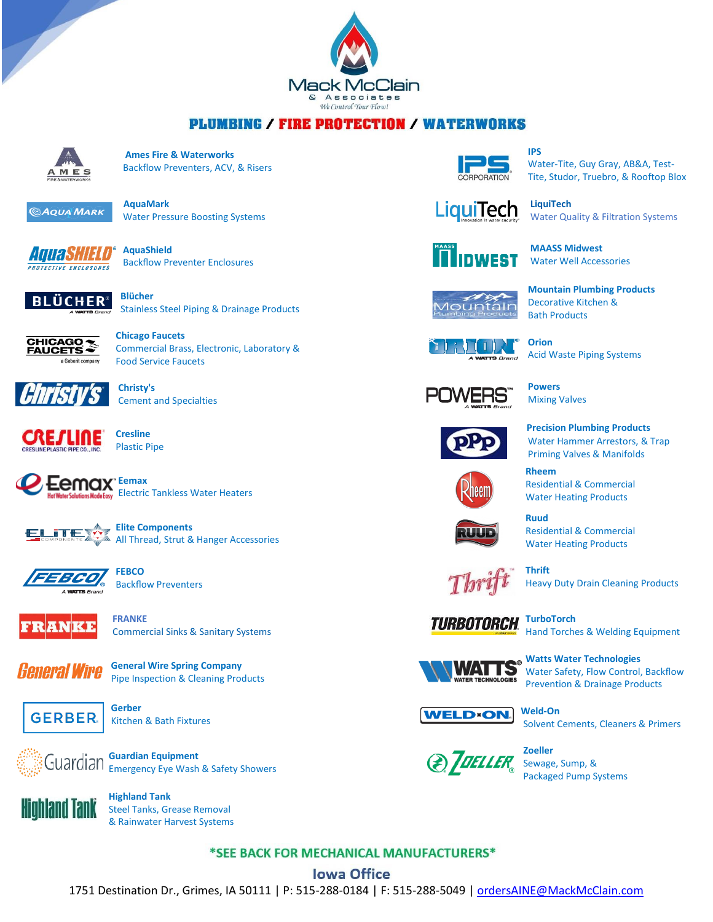

## **PLUMBING / FIRE PROTECTION / WATERWORKS**



 **Ames Fire & Waterworks**  $M \, \mathbf{E}$  **Backflow Preventers, ACV, & Risers** 



Water Pressure Boosting Systems

 **AquaShield BACKFLOW PREVENTION PREVENT ENCLOSURES** 



Stainless Steel Piping & Drainage Products



 Commercial Brass, Electronic, Laboratory & a Geberit company Food Service Faucets



 **Christy's** Cement and Specialties



Plastic Pipe



**Elite Components** All Thread, Strut & Hanger Accessories



 **FEBCO** Backflow Preventers



 **FRANKE** Commercial Sinks & Sanitary Systems



*General Wire* **General Wire Spring [Company](http://www.drainbrain.com/)** Pipe Inspection & Cleaning Products



Kitchen & Bath Fixtures



Guardian Suardian Equipment Emergency Eye Wash & Safety Showers



 Steel Tanks, Grease Removal & Rainwater Harvest Systems



 Water-Tite, Guy Gray, AB&A, Test- CORPORATION Tite, Studor, Truebro, & Rooftop Blox



Water Quality & Filtration Systems



 **MAASS Midwest** Water Well Accessories

 **Mountain Plumbing Products** Decorative Kitchen & Bath Products



 **Orion** Acid Waste Piping Systems



 **Powers** Mixing Valves

 **Rheem**



 **Precision [Plumbing](http://www.pppinc.net/) Products** Water Hammer Arrestors, & Trap Priming Valves & Manifolds



 Water Heating Products **Ruud** Residential & Commercial

Water Heating Products

Residential & Commercial



Heavy Duty Drain Cleaning Products





 **Watts Water Technologies** Water Safety, Flow Control, Backflow Prevention & Drainage Products



Solvent Cements, Cleaners & Primers



Packaged Pump Systems

\*SEE BACK FOR MECHANICAL MANUFACTURERS\*

## **Iowa Office**

1751 Destination Dr., Grimes, IA 50111 | P: 515-288-0184 | F: 515-288-5049 | [ordersAINE@MackMcClain.com](mailto:ordersAINE@MackMcClain.com)